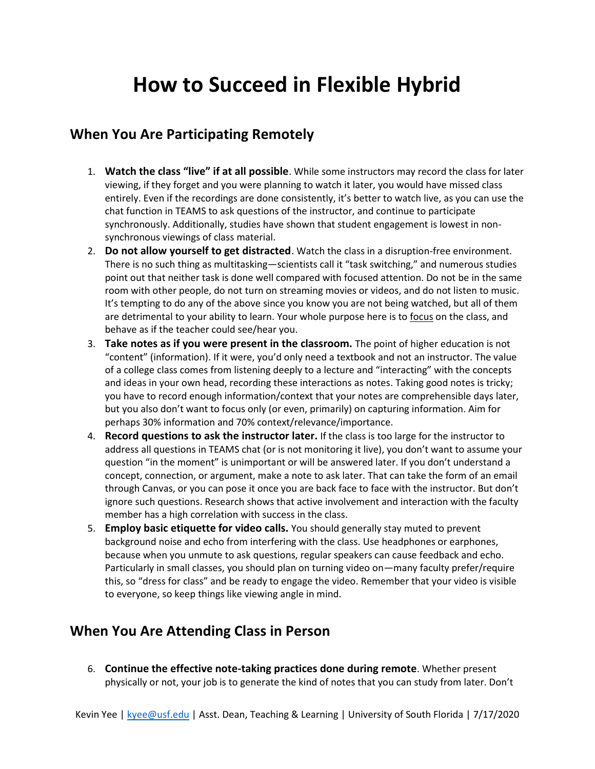## **How to Succeed in Flexible Hybrid**

## **When You Are Participating Remotely**

- 1. **Watch the class "live" if at all possible**. While some instructors may record the class for later viewing, if they forget and you were planning to watch it later, you would have missed class entirely. Even if the recordings are done consistently, it's better to watch live, as you can use the chat function in TEAMS to ask questions of the instructor, and continue to participate synchronously. Additionally, studies have shown that student engagement is lowest in nonsynchronous viewings of class material.
- 2. **Do not allow yourself to get distracted**. Watch the class in a disruption-free environment. There is no such thing as multitasking—scientists call it "task switching," and numerous studies point out that neither task is done well compared with focused attention. Do not be in the same room with other people, do not turn on streaming movies or videos, and do not listen to music. It's tempting to do any of the above since you know you are not being watched, but all of them are detrimental to your ability to learn. Your whole purpose here is to focus on the class, and behave as if the teacher could see/hear you.
- 3. **Take notes as if you were present in the classroom.** The point of higher education is not "content" (information). If it were, you'd only need a textbook and not an instructor. The value of a college class comes from listening deeply to a lecture and "interacting" with the concepts and ideas in your own head, recording these interactions as notes. Taking good notes is tricky; you have to record enough information/context that your notes are comprehensible days later, but you also don't want to focus only (or even, primarily) on capturing information. Aim for perhaps 30% information and 70% context/relevance/importance.
- 4. **Record questions to ask the instructor later.** If the class is too large for the instructor to address all questions in TEAMS chat (or is not monitoring it live), you don't want to assume your question "in the moment" is unimportant or will be answered later. If you don't understand a concept, connection, or argument, make a note to ask later. That can take the form of an email through Canvas, or you can pose it once you are back face to face with the instructor. But don't ignore such questions. Research shows that active involvement and interaction with the faculty member has a high correlation with success in the class.
- 5. **Employ basic etiquette for video calls.** You should generally stay muted to prevent background noise and echo from interfering with the class. Use headphones or earphones, because when you unmute to ask questions, regular speakers can cause feedback and echo. Particularly in small classes, you should plan on turning video on—many faculty prefer/require this, so "dress for class" and be ready to engage the video. Remember that your video is visible to everyone, so keep things like viewing angle in mind.

## **When You Are Attending Class in Person**

6. **Continue the effective note-taking practices done during remote**. Whether present physically or not, your job is to generate the kind of notes that you can study from later. Don't

Kevin Yee | [kyee@usf.edu](mailto:kyee@usf.edu) | Asst. Dean, Teaching & Learning | University of South Florida | 7/17/2020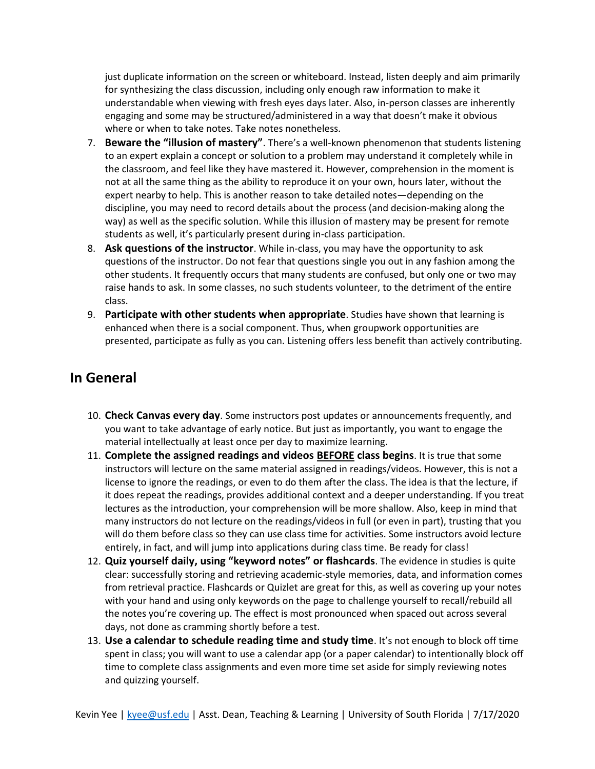just duplicate information on the screen or whiteboard. Instead, listen deeply and aim primarily for synthesizing the class discussion, including only enough raw information to make it understandable when viewing with fresh eyes days later. Also, in-person classes are inherently engaging and some may be structured/administered in a way that doesn't make it obvious where or when to take notes. Take notes nonetheless.

- 7. **Beware the "illusion of mastery"**. There's a well-known phenomenon that students listening to an expert explain a concept or solution to a problem may understand it completely while in the classroom, and feel like they have mastered it. However, comprehension in the moment is not at all the same thing as the ability to reproduce it on your own, hours later, without the expert nearby to help. This is another reason to take detailed notes—depending on the discipline, you may need to record details about the process (and decision-making along the way) as well as the specific solution. While this illusion of mastery may be present for remote students as well, it's particularly present during in-class participation.
- 8. **Ask questions of the instructor**. While in-class, you may have the opportunity to ask questions of the instructor. Do not fear that questions single you out in any fashion among the other students. It frequently occurs that many students are confused, but only one or two may raise hands to ask. In some classes, no such students volunteer, to the detriment of the entire class.
- 9. **Participate with other students when appropriate**. Studies have shown that learning is enhanced when there is a social component. Thus, when groupwork opportunities are presented, participate as fully as you can. Listening offers less benefit than actively contributing.

## **In General**

- 10. **Check Canvas every day**. Some instructors post updates or announcements frequently, and you want to take advantage of early notice. But just as importantly, you want to engage the material intellectually at least once per day to maximize learning.
- 11. **Complete the assigned readings and videos BEFORE class begins**. It is true that some instructors will lecture on the same material assigned in readings/videos. However, this is not a license to ignore the readings, or even to do them after the class. The idea is that the lecture, if it does repeat the readings, provides additional context and a deeper understanding. If you treat lectures as the introduction, your comprehension will be more shallow. Also, keep in mind that many instructors do not lecture on the readings/videos in full (or even in part), trusting that you will do them before class so they can use class time for activities. Some instructors avoid lecture entirely, in fact, and will jump into applications during class time. Be ready for class!
- 12. **Quiz yourself daily, using "keyword notes" or flashcards**. The evidence in studies is quite clear: successfully storing and retrieving academic-style memories, data, and information comes from retrieval practice. Flashcards or Quizlet are great for this, as well as covering up your notes with your hand and using only keywords on the page to challenge yourself to recall/rebuild all the notes you're covering up. The effect is most pronounced when spaced out across several days, not done as cramming shortly before a test.
- 13. **Use a calendar to schedule reading time and study time**. It's not enough to block off time spent in class; you will want to use a calendar app (or a paper calendar) to intentionally block off time to complete class assignments and even more time set aside for simply reviewing notes and quizzing yourself.